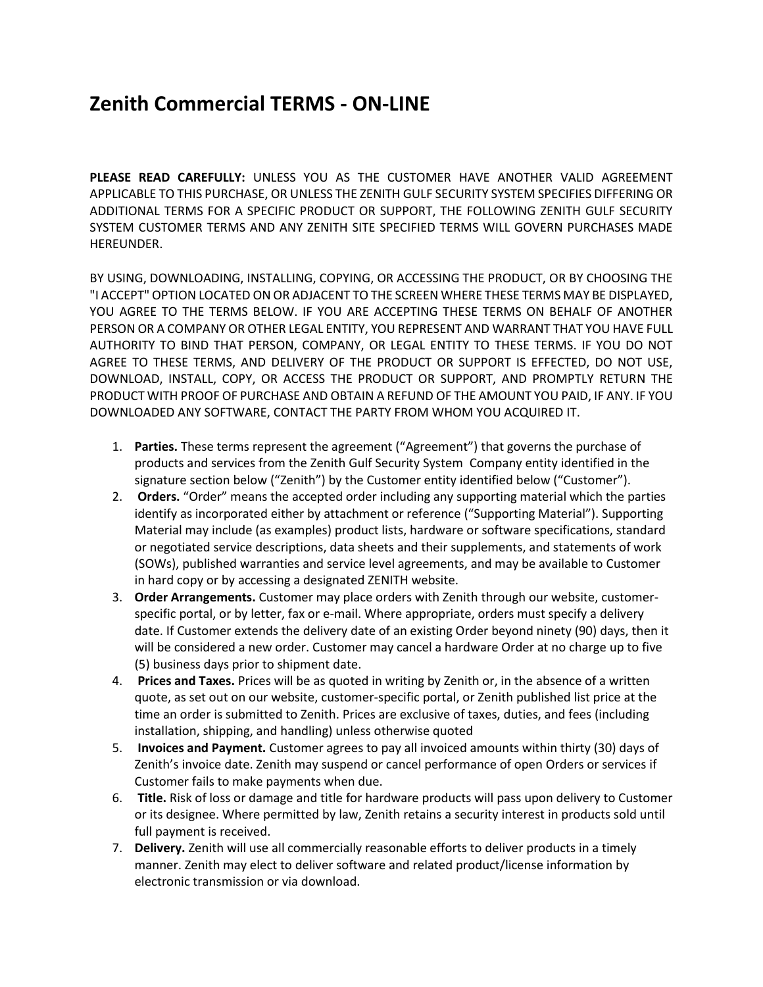## **Zenith Commercial TERMS - ON-LINE**

**PLEASE READ CAREFULLY:** UNLESS YOU AS THE CUSTOMER HAVE ANOTHER VALID AGREEMENT APPLICABLE TO THIS PURCHASE, OR UNLESS THE ZENITH GULF SECURITY SYSTEM SPECIFIES DIFFERING OR ADDITIONAL TERMS FOR A SPECIFIC PRODUCT OR SUPPORT, THE FOLLOWING ZENITH GULF SECURITY SYSTEM CUSTOMER TERMS AND ANY ZENITH SITE SPECIFIED TERMS WILL GOVERN PURCHASES MADE HEREUNDER.

BY USING, DOWNLOADING, INSTALLING, COPYING, OR ACCESSING THE PRODUCT, OR BY CHOOSING THE "I ACCEPT" OPTION LOCATED ON OR ADJACENT TO THE SCREEN WHERE THESE TERMS MAY BE DISPLAYED, YOU AGREE TO THE TERMS BELOW. IF YOU ARE ACCEPTING THESE TERMS ON BEHALF OF ANOTHER PERSON OR A COMPANY OR OTHER LEGAL ENTITY, YOU REPRESENT AND WARRANT THAT YOU HAVE FULL AUTHORITY TO BIND THAT PERSON, COMPANY, OR LEGAL ENTITY TO THESE TERMS. IF YOU DO NOT AGREE TO THESE TERMS, AND DELIVERY OF THE PRODUCT OR SUPPORT IS EFFECTED, DO NOT USE, DOWNLOAD, INSTALL, COPY, OR ACCESS THE PRODUCT OR SUPPORT, AND PROMPTLY RETURN THE PRODUCT WITH PROOF OF PURCHASE AND OBTAIN A REFUND OF THE AMOUNT YOU PAID, IF ANY. IF YOU DOWNLOADED ANY SOFTWARE, CONTACT THE PARTY FROM WHOM YOU ACQUIRED IT.

- 1. **Parties.** These terms represent the agreement ("Agreement") that governs the purchase of products and services from the Zenith Gulf Security System Company entity identified in the signature section below ("Zenith") by the Customer entity identified below ("Customer").
- 2. **Orders.** "Order" means the accepted order including any supporting material which the parties identify as incorporated either by attachment or reference ("Supporting Material"). Supporting Material may include (as examples) product lists, hardware or software specifications, standard or negotiated service descriptions, data sheets and their supplements, and statements of work (SOWs), published warranties and service level agreements, and may be available to Customer in hard copy or by accessing a designated ZENITH website.
- 3. **Order Arrangements.** Customer may place orders with Zenith through our website, customerspecific portal, or by letter, fax or e-mail. Where appropriate, orders must specify a delivery date. If Customer extends the delivery date of an existing Order beyond ninety (90) days, then it will be considered a new order. Customer may cancel a hardware Order at no charge up to five (5) business days prior to shipment date.
- 4. **Prices and Taxes.** Prices will be as quoted in writing by Zenith or, in the absence of a written quote, as set out on our website, customer-specific portal, or Zenith published list price at the time an order is submitted to Zenith. Prices are exclusive of taxes, duties, and fees (including installation, shipping, and handling) unless otherwise quoted
- 5. **Invoices and Payment.** Customer agrees to pay all invoiced amounts within thirty (30) days of Zenith's invoice date. Zenith may suspend or cancel performance of open Orders or services if Customer fails to make payments when due.
- 6. **Title.** Risk of loss or damage and title for hardware products will pass upon delivery to Customer or its designee. Where permitted by law, Zenith retains a security interest in products sold until full payment is received.
- 7. **Delivery.** Zenith will use all commercially reasonable efforts to deliver products in a timely manner. Zenith may elect to deliver software and related product/license information by electronic transmission or via download.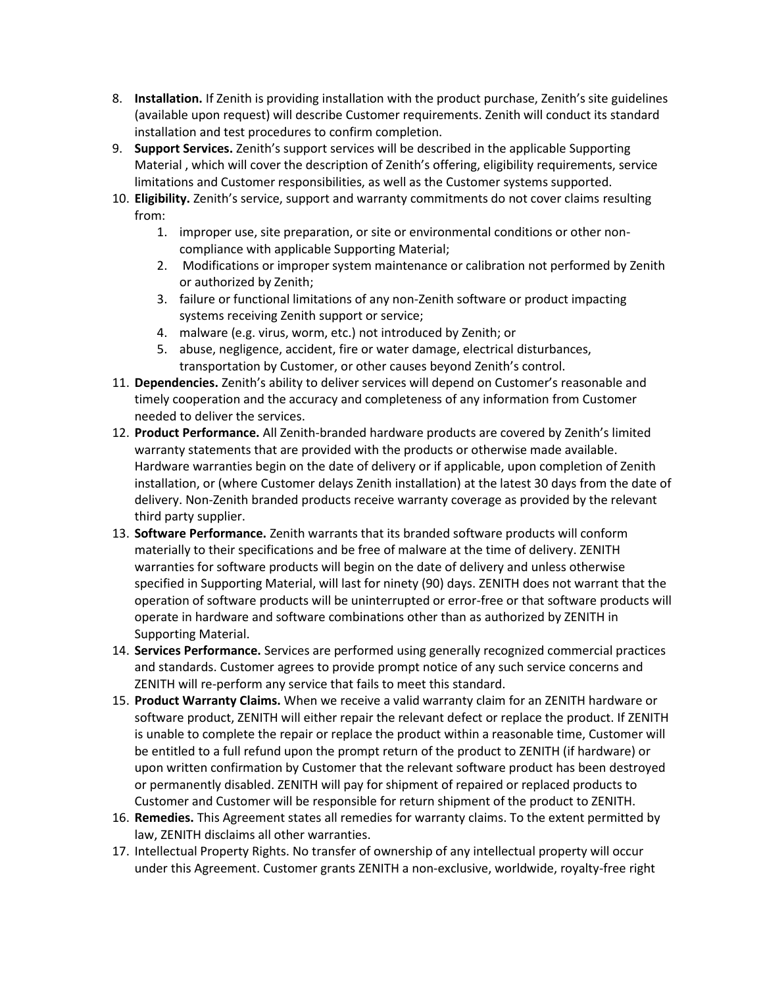- 8. **Installation.** If Zenith is providing installation with the product purchase, Zenith's site guidelines (available upon request) will describe Customer requirements. Zenith will conduct its standard installation and test procedures to confirm completion.
- 9. **Support Services.** Zenith's support services will be described in the applicable Supporting Material , which will cover the description of Zenith's offering, eligibility requirements, service limitations and Customer responsibilities, as well as the Customer systems supported.
- 10. **Eligibility.** Zenith's service, support and warranty commitments do not cover claims resulting from:
	- 1. improper use, site preparation, or site or environmental conditions or other noncompliance with applicable Supporting Material;
	- 2. Modifications or improper system maintenance or calibration not performed by Zenith or authorized by Zenith;
	- 3. failure or functional limitations of any non-Zenith software or product impacting systems receiving Zenith support or service;
	- 4. malware (e.g. virus, worm, etc.) not introduced by Zenith; or
	- 5. abuse, negligence, accident, fire or water damage, electrical disturbances, transportation by Customer, or other causes beyond Zenith's control.
- 11. **Dependencies.** Zenith's ability to deliver services will depend on Customer's reasonable and timely cooperation and the accuracy and completeness of any information from Customer needed to deliver the services.
- 12. **Product Performance.** All Zenith-branded hardware products are covered by Zenith's limited warranty statements that are provided with the products or otherwise made available. Hardware warranties begin on the date of delivery or if applicable, upon completion of Zenith installation, or (where Customer delays Zenith installation) at the latest 30 days from the date of delivery. Non-Zenith branded products receive warranty coverage as provided by the relevant third party supplier.
- 13. **Software Performance.** Zenith warrants that its branded software products will conform materially to their specifications and be free of malware at the time of delivery. ZENITH warranties for software products will begin on the date of delivery and unless otherwise specified in Supporting Material, will last for ninety (90) days. ZENITH does not warrant that the operation of software products will be uninterrupted or error-free or that software products will operate in hardware and software combinations other than as authorized by ZENITH in Supporting Material.
- 14. **Services Performance.** Services are performed using generally recognized commercial practices and standards. Customer agrees to provide prompt notice of any such service concerns and ZENITH will re-perform any service that fails to meet this standard.
- 15. **Product Warranty Claims.** When we receive a valid warranty claim for an ZENITH hardware or software product, ZENITH will either repair the relevant defect or replace the product. If ZENITH is unable to complete the repair or replace the product within a reasonable time, Customer will be entitled to a full refund upon the prompt return of the product to ZENITH (if hardware) or upon written confirmation by Customer that the relevant software product has been destroyed or permanently disabled. ZENITH will pay for shipment of repaired or replaced products to Customer and Customer will be responsible for return shipment of the product to ZENITH.
- 16. **Remedies.** This Agreement states all remedies for warranty claims. To the extent permitted by law, ZENITH disclaims all other warranties.
- 17. Intellectual Property Rights. No transfer of ownership of any intellectual property will occur under this Agreement. Customer grants ZENITH a non-exclusive, worldwide, royalty-free right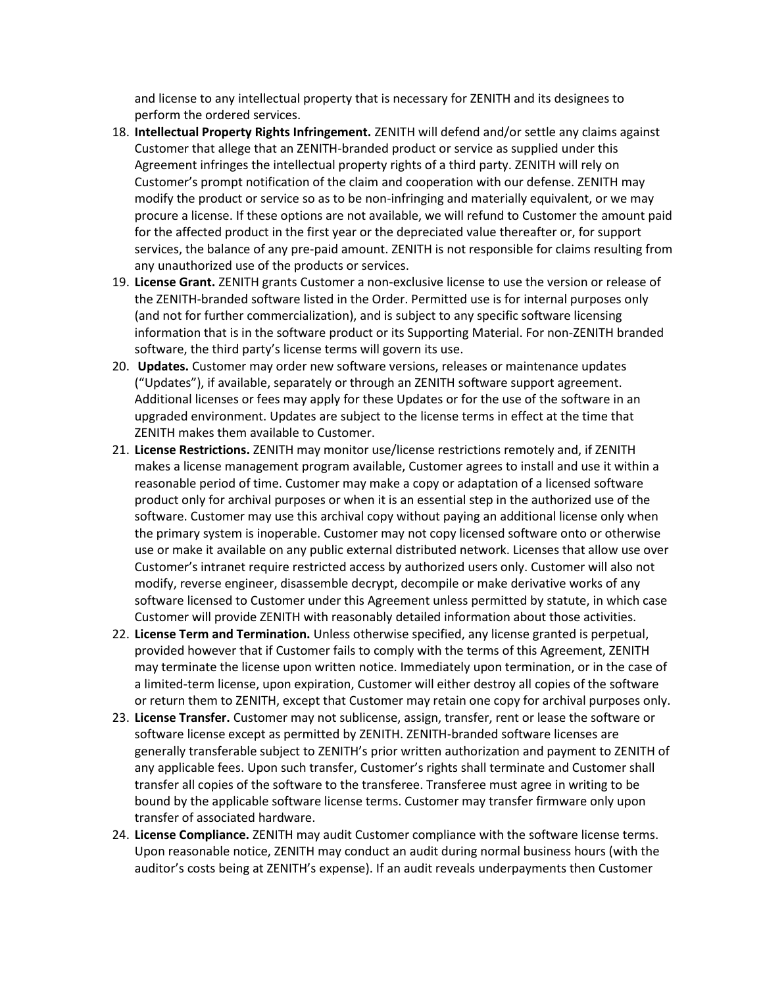and license to any intellectual property that is necessary for ZENITH and its designees to perform the ordered services.

- 18. **Intellectual Property Rights Infringement.** ZENITH will defend and/or settle any claims against Customer that allege that an ZENITH-branded product or service as supplied under this Agreement infringes the intellectual property rights of a third party. ZENITH will rely on Customer's prompt notification of the claim and cooperation with our defense. ZENITH may modify the product or service so as to be non-infringing and materially equivalent, or we may procure a license. If these options are not available, we will refund to Customer the amount paid for the affected product in the first year or the depreciated value thereafter or, for support services, the balance of any pre-paid amount. ZENITH is not responsible for claims resulting from any unauthorized use of the products or services.
- 19. **License Grant.** ZENITH grants Customer a non-exclusive license to use the version or release of the ZENITH-branded software listed in the Order. Permitted use is for internal purposes only (and not for further commercialization), and is subject to any specific software licensing information that is in the software product or its Supporting Material. For non-ZENITH branded software, the third party's license terms will govern its use.
- 20. **Updates.** Customer may order new software versions, releases or maintenance updates ("Updates"), if available, separately or through an ZENITH software support agreement. Additional licenses or fees may apply for these Updates or for the use of the software in an upgraded environment. Updates are subject to the license terms in effect at the time that ZENITH makes them available to Customer.
- 21. **License Restrictions.** ZENITH may monitor use/license restrictions remotely and, if ZENITH makes a license management program available, Customer agrees to install and use it within a reasonable period of time. Customer may make a copy or adaptation of a licensed software product only for archival purposes or when it is an essential step in the authorized use of the software. Customer may use this archival copy without paying an additional license only when the primary system is inoperable. Customer may not copy licensed software onto or otherwise use or make it available on any public external distributed network. Licenses that allow use over Customer's intranet require restricted access by authorized users only. Customer will also not modify, reverse engineer, disassemble decrypt, decompile or make derivative works of any software licensed to Customer under this Agreement unless permitted by statute, in which case Customer will provide ZENITH with reasonably detailed information about those activities.
- 22. **License Term and Termination.** Unless otherwise specified, any license granted is perpetual, provided however that if Customer fails to comply with the terms of this Agreement, ZENITH may terminate the license upon written notice. Immediately upon termination, or in the case of a limited-term license, upon expiration, Customer will either destroy all copies of the software or return them to ZENITH, except that Customer may retain one copy for archival purposes only.
- 23. **License Transfer.** Customer may not sublicense, assign, transfer, rent or lease the software or software license except as permitted by ZENITH. ZENITH-branded software licenses are generally transferable subject to ZENITH's prior written authorization and payment to ZENITH of any applicable fees. Upon such transfer, Customer's rights shall terminate and Customer shall transfer all copies of the software to the transferee. Transferee must agree in writing to be bound by the applicable software license terms. Customer may transfer firmware only upon transfer of associated hardware.
- 24. **License Compliance.** ZENITH may audit Customer compliance with the software license terms. Upon reasonable notice, ZENITH may conduct an audit during normal business hours (with the auditor's costs being at ZENITH's expense). If an audit reveals underpayments then Customer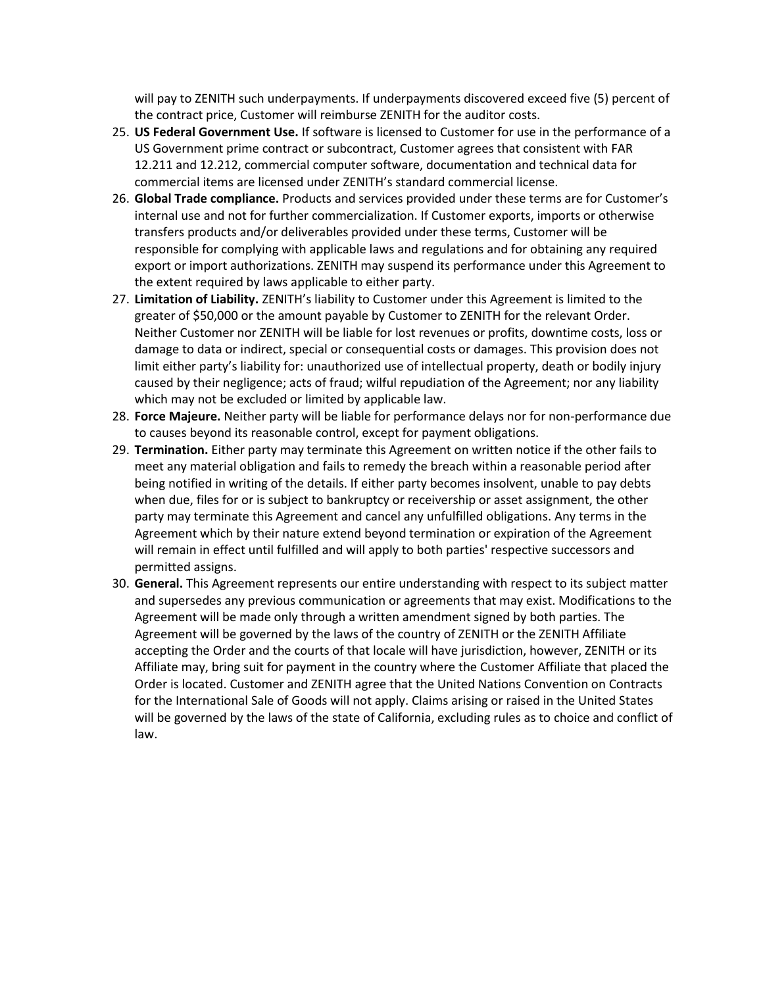will pay to ZENITH such underpayments. If underpayments discovered exceed five (5) percent of the contract price, Customer will reimburse ZENITH for the auditor costs.

- 25. **US Federal Government Use.** If software is licensed to Customer for use in the performance of a US Government prime contract or subcontract, Customer agrees that consistent with FAR 12.211 and 12.212, commercial computer software, documentation and technical data for commercial items are licensed under ZENITH's standard commercial license.
- 26. **Global Trade compliance.** Products and services provided under these terms are for Customer's internal use and not for further commercialization. If Customer exports, imports or otherwise transfers products and/or deliverables provided under these terms, Customer will be responsible for complying with applicable laws and regulations and for obtaining any required export or import authorizations. ZENITH may suspend its performance under this Agreement to the extent required by laws applicable to either party.
- 27. **Limitation of Liability.** ZENITH's liability to Customer under this Agreement is limited to the greater of \$50,000 or the amount payable by Customer to ZENITH for the relevant Order. Neither Customer nor ZENITH will be liable for lost revenues or profits, downtime costs, loss or damage to data or indirect, special or consequential costs or damages. This provision does not limit either party's liability for: unauthorized use of intellectual property, death or bodily injury caused by their negligence; acts of fraud; wilful repudiation of the Agreement; nor any liability which may not be excluded or limited by applicable law.
- 28. **Force Majeure.** Neither party will be liable for performance delays nor for non-performance due to causes beyond its reasonable control, except for payment obligations.
- 29. **Termination.** Either party may terminate this Agreement on written notice if the other fails to meet any material obligation and fails to remedy the breach within a reasonable period after being notified in writing of the details. If either party becomes insolvent, unable to pay debts when due, files for or is subject to bankruptcy or receivership or asset assignment, the other party may terminate this Agreement and cancel any unfulfilled obligations. Any terms in the Agreement which by their nature extend beyond termination or expiration of the Agreement will remain in effect until fulfilled and will apply to both parties' respective successors and permitted assigns.
- 30. **General.** This Agreement represents our entire understanding with respect to its subject matter and supersedes any previous communication or agreements that may exist. Modifications to the Agreement will be made only through a written amendment signed by both parties. The Agreement will be governed by the laws of the country of ZENITH or the ZENITH Affiliate accepting the Order and the courts of that locale will have jurisdiction, however, ZENITH or its Affiliate may, bring suit for payment in the country where the Customer Affiliate that placed the Order is located. Customer and ZENITH agree that the United Nations Convention on Contracts for the International Sale of Goods will not apply. Claims arising or raised in the United States will be governed by the laws of the state of California, excluding rules as to choice and conflict of law.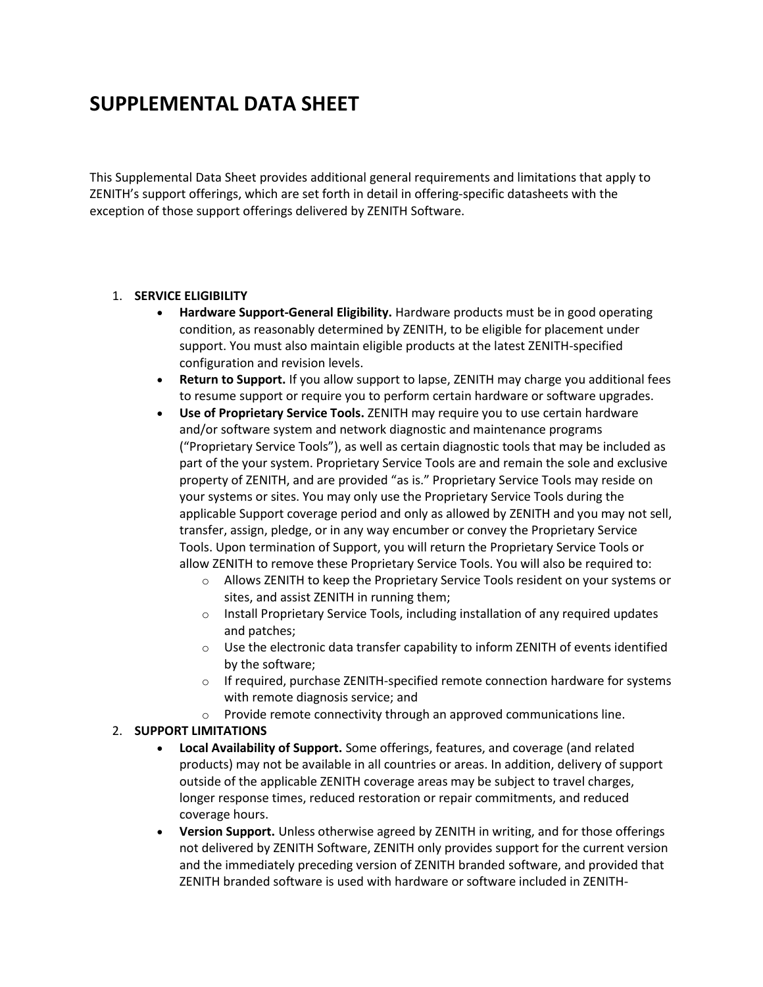# **SUPPLEMENTAL DATA SHEET**

This Supplemental Data Sheet provides additional general requirements and limitations that apply to ZENITH's support offerings, which are set forth in detail in offering-specific datasheets with the exception of those support offerings delivered by ZENITH Software.

#### 1. **SERVICE ELIGIBILITY**

- **Hardware Support-General Eligibility.** Hardware products must be in good operating condition, as reasonably determined by ZENITH, to be eligible for placement under support. You must also maintain eligible products at the latest ZENITH-specified configuration and revision levels.
- **Return to Support.** If you allow support to lapse, ZENITH may charge you additional fees to resume support or require you to perform certain hardware or software upgrades.
- **Use of Proprietary Service Tools.** ZENITH may require you to use certain hardware and/or software system and network diagnostic and maintenance programs ("Proprietary Service Tools"), as well as certain diagnostic tools that may be included as part of the your system. Proprietary Service Tools are and remain the sole and exclusive property of ZENITH, and are provided "as is." Proprietary Service Tools may reside on your systems or sites. You may only use the Proprietary Service Tools during the applicable Support coverage period and only as allowed by ZENITH and you may not sell, transfer, assign, pledge, or in any way encumber or convey the Proprietary Service Tools. Upon termination of Support, you will return the Proprietary Service Tools or allow ZENITH to remove these Proprietary Service Tools. You will also be required to:
	- o Allows ZENITH to keep the Proprietary Service Tools resident on your systems or sites, and assist ZENITH in running them;
	- $\circ$  Install Proprietary Service Tools, including installation of any required updates and patches;
	- $\circ$  Use the electronic data transfer capability to inform ZENITH of events identified by the software;
	- $\circ$  If required, purchase ZENITH-specified remote connection hardware for systems with remote diagnosis service; and
	- o Provide remote connectivity through an approved communications line.

#### 2. **SUPPORT LIMITATIONS**

- **Local Availability of Support.** Some offerings, features, and coverage (and related products) may not be available in all countries or areas. In addition, delivery of support outside of the applicable ZENITH coverage areas may be subject to travel charges, longer response times, reduced restoration or repair commitments, and reduced coverage hours.
- **Version Support.** Unless otherwise agreed by ZENITH in writing, and for those offerings not delivered by ZENITH Software, ZENITH only provides support for the current version and the immediately preceding version of ZENITH branded software, and provided that ZENITH branded software is used with hardware or software included in ZENITH-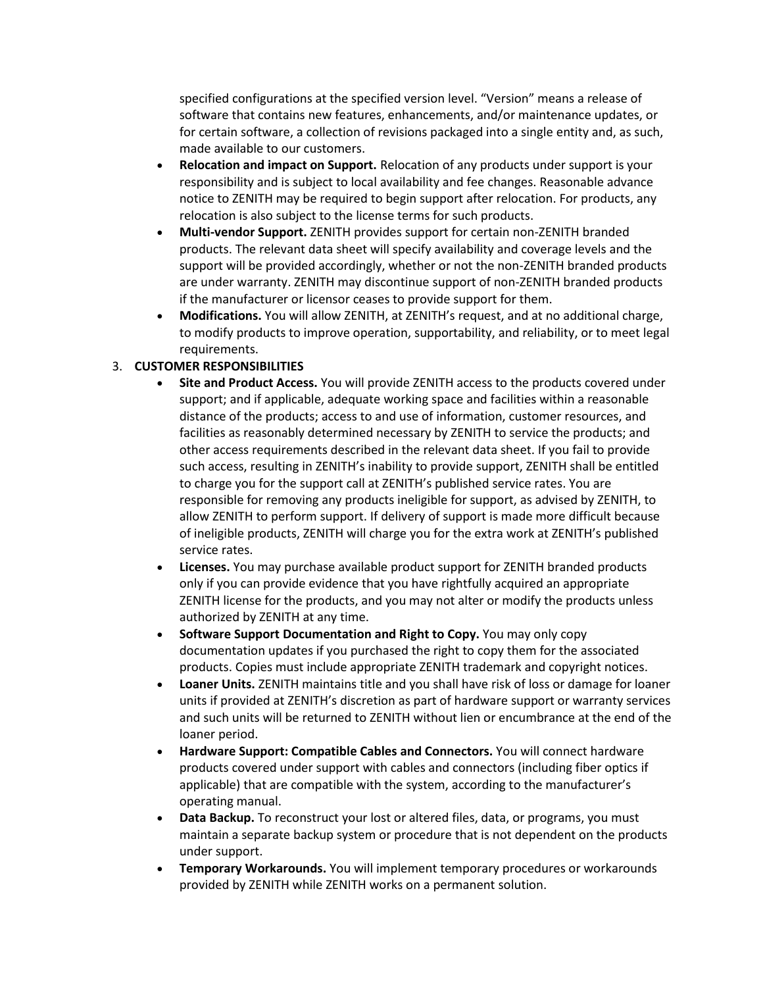specified configurations at the specified version level. "Version" means a release of software that contains new features, enhancements, and/or maintenance updates, or for certain software, a collection of revisions packaged into a single entity and, as such, made available to our customers.

- **Relocation and impact on Support.** Relocation of any products under support is your responsibility and is subject to local availability and fee changes. Reasonable advance notice to ZENITH may be required to begin support after relocation. For products, any relocation is also subject to the license terms for such products.
- **Multi-vendor Support.** ZENITH provides support for certain non-ZENITH branded products. The relevant data sheet will specify availability and coverage levels and the support will be provided accordingly, whether or not the non-ZENITH branded products are under warranty. ZENITH may discontinue support of non-ZENITH branded products if the manufacturer or licensor ceases to provide support for them.
- **Modifications.** You will allow ZENITH, at ZENITH's request, and at no additional charge, to modify products to improve operation, supportability, and reliability, or to meet legal requirements.

## 3. **CUSTOMER RESPONSIBILITIES**

- **Site and Product Access.** You will provide ZENITH access to the products covered under support; and if applicable, adequate working space and facilities within a reasonable distance of the products; access to and use of information, customer resources, and facilities as reasonably determined necessary by ZENITH to service the products; and other access requirements described in the relevant data sheet. If you fail to provide such access, resulting in ZENITH's inability to provide support, ZENITH shall be entitled to charge you for the support call at ZENITH's published service rates. You are responsible for removing any products ineligible for support, as advised by ZENITH, to allow ZENITH to perform support. If delivery of support is made more difficult because of ineligible products, ZENITH will charge you for the extra work at ZENITH's published service rates.
- **Licenses.** You may purchase available product support for ZENITH branded products only if you can provide evidence that you have rightfully acquired an appropriate ZENITH license for the products, and you may not alter or modify the products unless authorized by ZENITH at any time.
- **Software Support Documentation and Right to Copy.** You may only copy documentation updates if you purchased the right to copy them for the associated products. Copies must include appropriate ZENITH trademark and copyright notices.
- **Loaner Units.** ZENITH maintains title and you shall have risk of loss or damage for loaner units if provided at ZENITH's discretion as part of hardware support or warranty services and such units will be returned to ZENITH without lien or encumbrance at the end of the loaner period.
- **Hardware Support: Compatible Cables and Connectors.** You will connect hardware products covered under support with cables and connectors (including fiber optics if applicable) that are compatible with the system, according to the manufacturer's operating manual.
- **Data Backup.** To reconstruct your lost or altered files, data, or programs, you must maintain a separate backup system or procedure that is not dependent on the products under support.
- **Temporary Workarounds.** You will implement temporary procedures or workarounds provided by ZENITH while ZENITH works on a permanent solution.